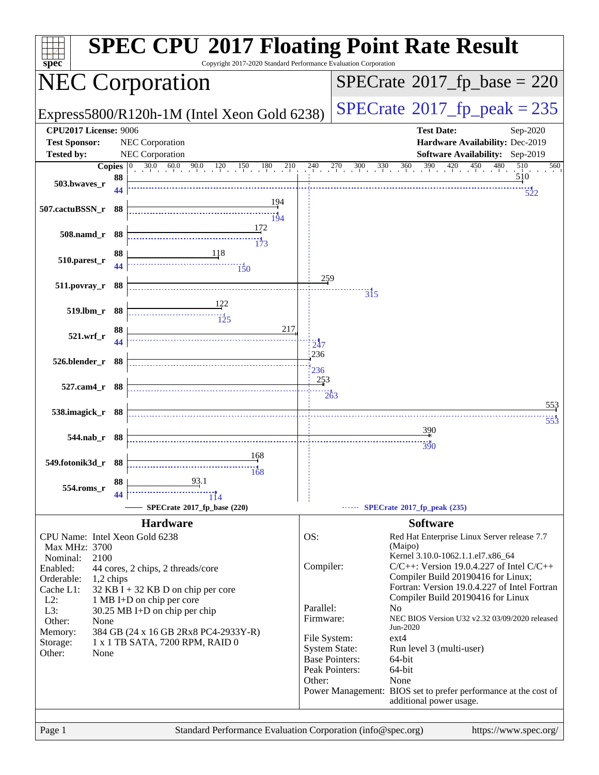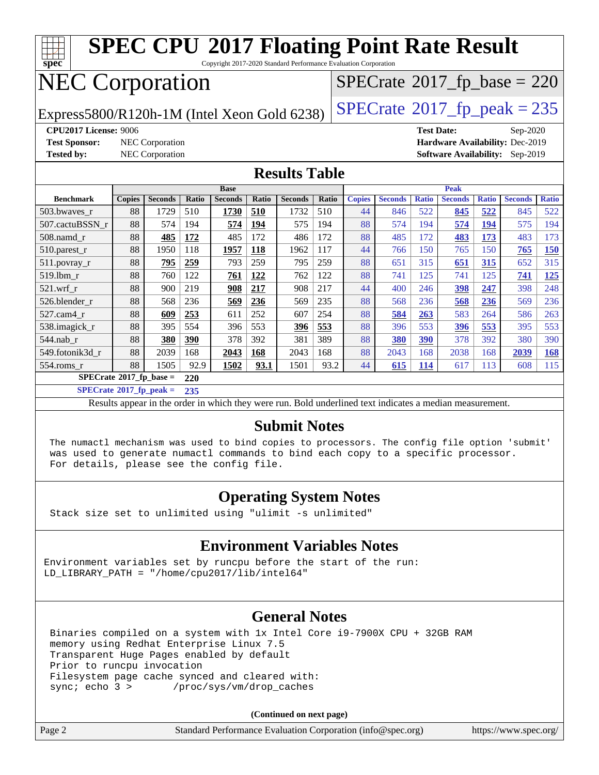

**[SPECrate](http://www.spec.org/auto/cpu2017/Docs/result-fields.html#SPECrate2017fpbase)[2017\\_fp\\_base =](http://www.spec.org/auto/cpu2017/Docs/result-fields.html#SPECrate2017fpbase) 220**

**[SPECrate](http://www.spec.org/auto/cpu2017/Docs/result-fields.html#SPECrate2017fppeak)[2017\\_fp\\_peak =](http://www.spec.org/auto/cpu2017/Docs/result-fields.html#SPECrate2017fppeak) 235**

Results appear in the [order in which they were run.](http://www.spec.org/auto/cpu2017/Docs/result-fields.html#RunOrder) Bold underlined text [indicates a median measurement.](http://www.spec.org/auto/cpu2017/Docs/result-fields.html#Median)

#### **[Submit Notes](http://www.spec.org/auto/cpu2017/Docs/result-fields.html#SubmitNotes)**

 The numactl mechanism was used to bind copies to processors. The config file option 'submit' was used to generate numactl commands to bind each copy to a specific processor. For details, please see the config file.

#### **[Operating System Notes](http://www.spec.org/auto/cpu2017/Docs/result-fields.html#OperatingSystemNotes)**

Stack size set to unlimited using "ulimit -s unlimited"

#### **[Environment Variables Notes](http://www.spec.org/auto/cpu2017/Docs/result-fields.html#EnvironmentVariablesNotes)**

Environment variables set by runcpu before the start of the run: LD LIBRARY PATH = "/home/cpu2017/lib/intel64"

#### **[General Notes](http://www.spec.org/auto/cpu2017/Docs/result-fields.html#GeneralNotes)**

 Binaries compiled on a system with 1x Intel Core i9-7900X CPU + 32GB RAM memory using Redhat Enterprise Linux 7.5 Transparent Huge Pages enabled by default Prior to runcpu invocation Filesystem page cache synced and cleared with: sync; echo 3 > /proc/sys/vm/drop\_caches

**(Continued on next page)**

| Page 2 | Standard Performance Evaluation Corporation (info@spec.org) | https://www.spec.org/ |
|--------|-------------------------------------------------------------|-----------------------|
|        |                                                             |                       |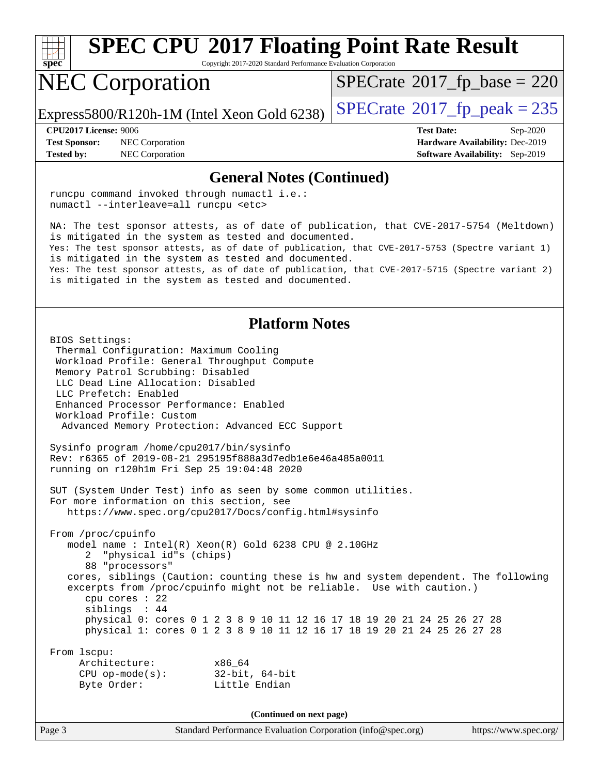

Copyright 2017-2020 Standard Performance Evaluation Corporation

## NEC Corporation

 $SPECTate$ <sup>®</sup>[2017\\_fp\\_base =](http://www.spec.org/auto/cpu2017/Docs/result-fields.html#SPECrate2017fpbase) 220

Express5800/R120h-1M (Intel Xeon Gold 6238)  $\left|$  [SPECrate](http://www.spec.org/auto/cpu2017/Docs/result-fields.html#SPECrate2017fppeak)®[2017\\_fp\\_peak = 2](http://www.spec.org/auto/cpu2017/Docs/result-fields.html#SPECrate2017fppeak)35

**[Test Sponsor:](http://www.spec.org/auto/cpu2017/Docs/result-fields.html#TestSponsor)** NEC Corporation **[Hardware Availability:](http://www.spec.org/auto/cpu2017/Docs/result-fields.html#HardwareAvailability)** Dec-2019 **[Tested by:](http://www.spec.org/auto/cpu2017/Docs/result-fields.html#Testedby)** NEC Corporation **[Software Availability:](http://www.spec.org/auto/cpu2017/Docs/result-fields.html#SoftwareAvailability)** Sep-2019

**[CPU2017 License:](http://www.spec.org/auto/cpu2017/Docs/result-fields.html#CPU2017License)** 9006 **[Test Date:](http://www.spec.org/auto/cpu2017/Docs/result-fields.html#TestDate)** Sep-2020

#### **[General Notes \(Continued\)](http://www.spec.org/auto/cpu2017/Docs/result-fields.html#GeneralNotes)**

 runcpu command invoked through numactl i.e.: numactl --interleave=all runcpu <etc>

 NA: The test sponsor attests, as of date of publication, that CVE-2017-5754 (Meltdown) is mitigated in the system as tested and documented. Yes: The test sponsor attests, as of date of publication, that CVE-2017-5753 (Spectre variant 1) is mitigated in the system as tested and documented. Yes: The test sponsor attests, as of date of publication, that CVE-2017-5715 (Spectre variant 2) is mitigated in the system as tested and documented.

#### **[Platform Notes](http://www.spec.org/auto/cpu2017/Docs/result-fields.html#PlatformNotes)**

 BIOS Settings: Thermal Configuration: Maximum Cooling Workload Profile: General Throughput Compute Memory Patrol Scrubbing: Disabled LLC Dead Line Allocation: Disabled LLC Prefetch: Enabled Enhanced Processor Performance: Enabled Workload Profile: Custom Advanced Memory Protection: Advanced ECC Support Sysinfo program /home/cpu2017/bin/sysinfo Rev: r6365 of 2019-08-21 295195f888a3d7edb1e6e46a485a0011 running on r120h1m Fri Sep 25 19:04:48 2020 SUT (System Under Test) info as seen by some common utilities. For more information on this section, see <https://www.spec.org/cpu2017/Docs/config.html#sysinfo> From /proc/cpuinfo model name : Intel(R) Xeon(R) Gold 6238 CPU @ 2.10GHz 2 "physical id"s (chips) 88 "processors" cores, siblings (Caution: counting these is hw and system dependent. The following excerpts from /proc/cpuinfo might not be reliable. Use with caution.) cpu cores : 22 siblings : 44 physical 0: cores 0 1 2 3 8 9 10 11 12 16 17 18 19 20 21 24 25 26 27 28 physical 1: cores 0 1 2 3 8 9 10 11 12 16 17 18 19 20 21 24 25 26 27 28 From lscpu: Architecture: x86\_64 CPU op-mode(s): 32-bit, 64-bit Byte Order: Little Endian **(Continued on next page)**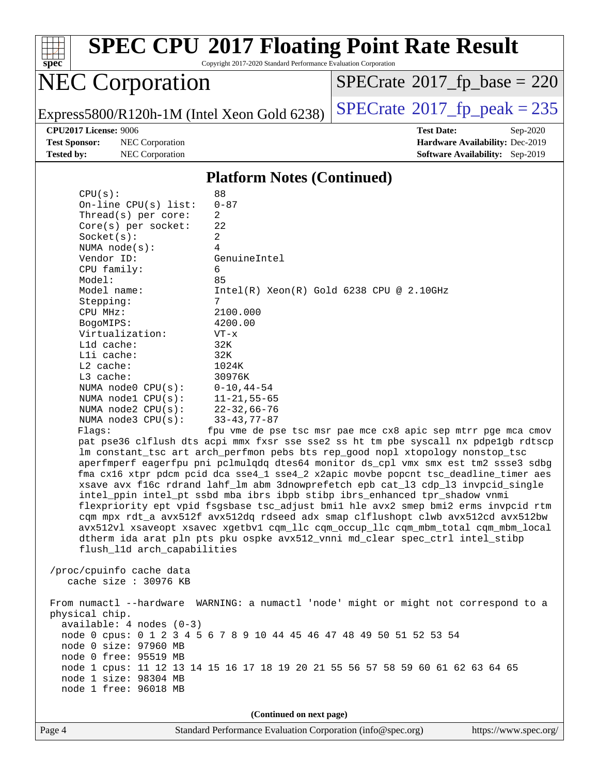

Copyright 2017-2020 Standard Performance Evaluation Corporation

## NEC Corporation

 $SPECrate$ <sup>®</sup>[2017\\_fp\\_base =](http://www.spec.org/auto/cpu2017/Docs/result-fields.html#SPECrate2017fpbase) 220

Express5800/R120h-1M (Intel Xeon Gold 6238)  $\left|$  [SPECrate](http://www.spec.org/auto/cpu2017/Docs/result-fields.html#SPECrate2017fppeak)®[2017\\_fp\\_peak = 2](http://www.spec.org/auto/cpu2017/Docs/result-fields.html#SPECrate2017fppeak)35

**[Test Sponsor:](http://www.spec.org/auto/cpu2017/Docs/result-fields.html#TestSponsor)** NEC Corporation **[Hardware Availability:](http://www.spec.org/auto/cpu2017/Docs/result-fields.html#HardwareAvailability)** Dec-2019 **[Tested by:](http://www.spec.org/auto/cpu2017/Docs/result-fields.html#Testedby)** NEC Corporation **[Software Availability:](http://www.spec.org/auto/cpu2017/Docs/result-fields.html#SoftwareAvailability)** Sep-2019

**[CPU2017 License:](http://www.spec.org/auto/cpu2017/Docs/result-fields.html#CPU2017License)** 9006 **[Test Date:](http://www.spec.org/auto/cpu2017/Docs/result-fields.html#TestDate)** Sep-2020

#### **[Platform Notes \(Continued\)](http://www.spec.org/auto/cpu2017/Docs/result-fields.html#PlatformNotes)**

| CPU(s):                     | 88                                                                                   |  |  |  |
|-----------------------------|--------------------------------------------------------------------------------------|--|--|--|
| On-line CPU(s) list:        | $0 - 87$                                                                             |  |  |  |
| Thread(s) per core:         | $\overline{a}$                                                                       |  |  |  |
| Core(s) per socket:         | 22                                                                                   |  |  |  |
| Socket(s):                  | 2                                                                                    |  |  |  |
| NUMA $node(s):$             | 4                                                                                    |  |  |  |
| Vendor ID:                  | GenuineIntel                                                                         |  |  |  |
| CPU family:                 | 6                                                                                    |  |  |  |
| Model:                      | 85                                                                                   |  |  |  |
| Model name:                 | $Intel(R) Xeon(R) Gold 6238 CPU @ 2.10GHz$                                           |  |  |  |
| Stepping:                   | 7                                                                                    |  |  |  |
| CPU MHz:                    | 2100.000                                                                             |  |  |  |
| BogoMIPS:                   | 4200.00                                                                              |  |  |  |
| Virtualization:             | $VT - x$                                                                             |  |  |  |
| $L1d$ cache:                | 32K                                                                                  |  |  |  |
| Lli cache:                  | 32K                                                                                  |  |  |  |
| $L2$ cache:                 | 1024K                                                                                |  |  |  |
| L3 cache:                   | 30976K                                                                               |  |  |  |
| NUMA $node0$ $CPU(s)$ :     | $0 - 10, 44 - 54$                                                                    |  |  |  |
| NUMA nodel $CPU(s):$        | $11 - 21, 55 - 65$                                                                   |  |  |  |
| NUMA $node2$ $CPU(s)$ :     | $22 - 32,66 - 76$                                                                    |  |  |  |
| NUMA node3 CPU(s):          | $33 - 43, 77 - 87$                                                                   |  |  |  |
| Flagg:                      | fpu vme de pse tsc msr pae mce cx8 apic sep mtrr pge mca cmov                        |  |  |  |
|                             | pat pse36 clflush dts acpi mmx fxsr sse sse2 ss ht tm pbe syscall nx pdpelgb rdtscp  |  |  |  |
|                             | lm constant_tsc art arch_perfmon pebs bts rep_good nopl xtopology nonstop_tsc        |  |  |  |
|                             | aperfmperf eagerfpu pni pclmulqdq dtes64 monitor ds_cpl vmx smx est tm2 ssse3 sdbg   |  |  |  |
|                             | fma cx16 xtpr pdcm pcid dca sse4_1 sse4_2 x2apic movbe popcnt tsc_deadline_timer aes |  |  |  |
|                             | xsave avx f16c rdrand lahf_lm abm 3dnowprefetch epb cat_13 cdp_13 invpcid_single     |  |  |  |
|                             | intel_ppin intel_pt ssbd mba ibrs ibpb stibp ibrs_enhanced tpr_shadow vnmi           |  |  |  |
|                             | flexpriority ept vpid fsgsbase tsc_adjust bmil hle avx2 smep bmi2 erms invpcid rtm   |  |  |  |
|                             | cqm mpx rdt_a avx512f avx512dq rdseed adx smap clflushopt clwb avx512cd avx512bw     |  |  |  |
|                             | avx512vl xsaveopt xsavec xgetbvl cqm_llc cqm_occup_llc cqm_mbm_total cqm_mbm_local   |  |  |  |
|                             | dtherm ida arat pln pts pku ospke avx512_vnni md_clear spec_ctrl intel_stibp         |  |  |  |
| flush_l1d arch_capabilities |                                                                                      |  |  |  |
| /proc/cpuinfo cache data    |                                                                                      |  |  |  |
| cache size $: 30976$ KB     |                                                                                      |  |  |  |
|                             |                                                                                      |  |  |  |
|                             | From numactl --hardware WARNING: a numactl 'node' might or might not correspond to a |  |  |  |
| physical chip.              |                                                                                      |  |  |  |
| $available: 4 nodes (0-3)$  |                                                                                      |  |  |  |
|                             | node 0 cpus: 0 1 2 3 4 5 6 7 8 9 10 44 45 46 47 48 49 50 51 52 53 54                 |  |  |  |
| node 0 size: 97960 MB       |                                                                                      |  |  |  |
| node 0 free: 95519 MB       |                                                                                      |  |  |  |
|                             | node 1 cpus: 11 12 13 14 15 16 17 18 19 20 21 55 56 57 58 59 60 61 62 63 64 65       |  |  |  |
| node 1 size: 98304 MB       |                                                                                      |  |  |  |
| node 1 free: 96018 MB       |                                                                                      |  |  |  |
|                             |                                                                                      |  |  |  |
|                             | (Continued on next page)                                                             |  |  |  |
|                             |                                                                                      |  |  |  |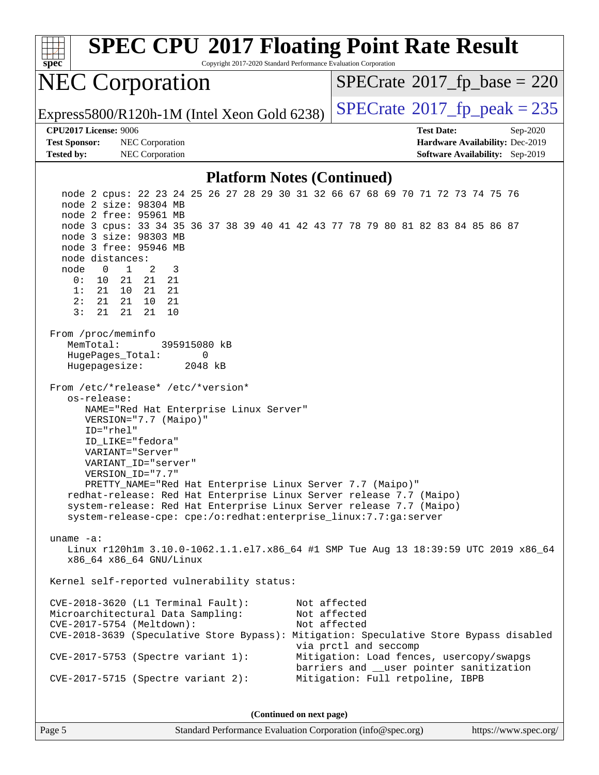| <b>SPEC CPU®2017 Floating Point Rate Result</b><br>Copyright 2017-2020 Standard Performance Evaluation Corporation<br>spec                                                                                                                                                                                                                                                                                                      |                                                                                                                          |  |  |  |  |
|---------------------------------------------------------------------------------------------------------------------------------------------------------------------------------------------------------------------------------------------------------------------------------------------------------------------------------------------------------------------------------------------------------------------------------|--------------------------------------------------------------------------------------------------------------------------|--|--|--|--|
| <b>NEC Corporation</b>                                                                                                                                                                                                                                                                                                                                                                                                          | $SPECrate^{\circ}2017$ _fp_base = 220                                                                                    |  |  |  |  |
| Express5800/R120h-1M (Intel Xeon Gold 6238)                                                                                                                                                                                                                                                                                                                                                                                     | $SPECTate@2017fp peak = 235$                                                                                             |  |  |  |  |
| <b>CPU2017 License: 9006</b>                                                                                                                                                                                                                                                                                                                                                                                                    | <b>Test Date:</b><br>Sep-2020                                                                                            |  |  |  |  |
| <b>Test Sponsor:</b><br>NEC Corporation<br><b>Tested by:</b><br>NEC Corporation                                                                                                                                                                                                                                                                                                                                                 | Hardware Availability: Dec-2019<br><b>Software Availability:</b> Sep-2019                                                |  |  |  |  |
| <b>Platform Notes (Continued)</b>                                                                                                                                                                                                                                                                                                                                                                                               |                                                                                                                          |  |  |  |  |
| node 2 cpus: 22 23 24 25 26 27 28 29 30 31 32 66 67 68 69 70 71 72 73 74 75 76<br>node 2 size: 98304 MB<br>node 2 free: 95961 MB<br>node 3 cpus: 33 34 35 36 37 38 39 40 41 42 43 77 78 79 80 81 82 83 84 85 86 87<br>node 3 size: 98303 MB<br>node 3 free: 95946 MB                                                                                                                                                            |                                                                                                                          |  |  |  |  |
| node distances:<br>node<br>1<br>2<br>3<br>0<br>21<br>0:<br>10<br>- 21<br>21<br>21 21<br>1:<br>21 10<br>2:<br>21<br>21<br>10<br>21<br>3:<br>21<br>21<br>21<br>10                                                                                                                                                                                                                                                                 |                                                                                                                          |  |  |  |  |
| From /proc/meminfo<br>MemTotal:<br>395915080 kB<br>HugePages_Total:<br>0<br>Hugepagesize:<br>2048 kB                                                                                                                                                                                                                                                                                                                            |                                                                                                                          |  |  |  |  |
| From /etc/*release* /etc/*version*<br>os-release:<br>NAME="Red Hat Enterprise Linux Server"<br>VERSION="7.7 (Maipo)"<br>ID="rhel"<br>ID_LIKE="fedora"<br>VARIANT="Server"<br>VARIANT ID="server"<br>VERSION ID="7.7"<br>PRETTY_NAME="Red Hat Enterprise Linux Server 7.7 (Maipo)"<br>redhat-release: Red Hat Enterprise Linux Server release 7.7 (Maipo)<br>system-release: Red Hat Enterprise Linux Server release 7.7 (Maipo) |                                                                                                                          |  |  |  |  |
| system-release-cpe: cpe:/o:redhat:enterprise_linux:7.7:ga:server<br>uname $-a$ :<br>Linux r120h1m 3.10.0-1062.1.1.el7.x86_64 #1 SMP Tue Aug 13 18:39:59 UTC 2019 x86_64<br>x86_64 x86_64 GNU/Linux                                                                                                                                                                                                                              |                                                                                                                          |  |  |  |  |
| Kernel self-reported vulnerability status:                                                                                                                                                                                                                                                                                                                                                                                      |                                                                                                                          |  |  |  |  |
| CVE-2018-3620 (L1 Terminal Fault):<br>Microarchitectural Data Sampling:<br>CVE-2017-5754 (Meltdown):<br>CVE-2018-3639 (Speculative Store Bypass): Mitigation: Speculative Store Bypass disabled                                                                                                                                                                                                                                 | Not affected<br>Not affected<br>Not affected<br>via prctl and seccomp                                                    |  |  |  |  |
| CVE-2017-5753 (Spectre variant 1):<br>$CVE-2017-5715$ (Spectre variant 2):                                                                                                                                                                                                                                                                                                                                                      | Mitigation: Load fences, usercopy/swapgs<br>barriers and __user pointer sanitization<br>Mitigation: Full retpoline, IBPB |  |  |  |  |
| (Continued on next page)                                                                                                                                                                                                                                                                                                                                                                                                        |                                                                                                                          |  |  |  |  |

Page 5 Standard Performance Evaluation Corporation [\(info@spec.org\)](mailto:info@spec.org) <https://www.spec.org/>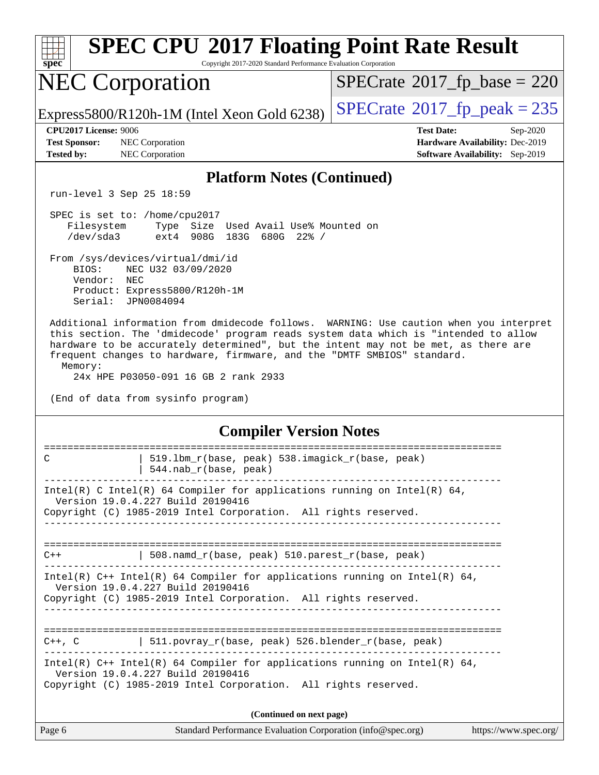| <b>SPEC CPU®2017 Floating Point Rate Result</b>                           |                                                                                                                      |                                                                                            |                                                                                                                                                                                                                                                                                                                                                |                                                                                |
|---------------------------------------------------------------------------|----------------------------------------------------------------------------------------------------------------------|--------------------------------------------------------------------------------------------|------------------------------------------------------------------------------------------------------------------------------------------------------------------------------------------------------------------------------------------------------------------------------------------------------------------------------------------------|--------------------------------------------------------------------------------|
| spec <sup>®</sup>                                                         |                                                                                                                      | Copyright 2017-2020 Standard Performance Evaluation Corporation                            | $SPECrate^{\circ}2017$ [p base = 220                                                                                                                                                                                                                                                                                                           |                                                                                |
|                                                                           | <b>NEC Corporation</b>                                                                                               |                                                                                            |                                                                                                                                                                                                                                                                                                                                                |                                                                                |
|                                                                           |                                                                                                                      | Express5800/R120h-1M (Intel Xeon Gold 6238)                                                | $SPECTate@2017fr peak = 235$                                                                                                                                                                                                                                                                                                                   |                                                                                |
| <b>CPU2017 License: 9006</b><br><b>Test Sponsor:</b><br><b>Tested by:</b> | NEC Corporation<br>NEC Corporation                                                                                   |                                                                                            | <b>Test Date:</b>                                                                                                                                                                                                                                                                                                                              | Sep-2020<br>Hardware Availability: Dec-2019<br>Software Availability: Sep-2019 |
|                                                                           | <b>Platform Notes (Continued)</b>                                                                                    |                                                                                            |                                                                                                                                                                                                                                                                                                                                                |                                                                                |
|                                                                           | run-level 3 Sep 25 18:59                                                                                             |                                                                                            |                                                                                                                                                                                                                                                                                                                                                |                                                                                |
| Filesystem<br>/dev/sda3                                                   | SPEC is set to: /home/cpu2017                                                                                        | Type Size Used Avail Use% Mounted on<br>ext4 908G 183G 680G 22% /                          |                                                                                                                                                                                                                                                                                                                                                |                                                                                |
| BIOS:<br>Vendor:                                                          | From /sys/devices/virtual/dmi/id<br>NEC U32 03/09/2020<br>NEC<br>Product: Express5800/R120h-1M<br>Serial: JPN0084094 |                                                                                            |                                                                                                                                                                                                                                                                                                                                                |                                                                                |
| Memory:                                                                   | 24x HPE P03050-091 16 GB 2 rank 2933<br>(End of data from sysinfo program)                                           |                                                                                            | Additional information from dmidecode follows. WARNING: Use caution when you interpret<br>this section. The 'dmidecode' program reads system data which is "intended to allow<br>hardware to be accurately determined", but the intent may not be met, as there are<br>frequent changes to hardware, firmware, and the "DMTF SMBIOS" standard. |                                                                                |
|                                                                           | <b>Compiler Version Notes</b>                                                                                        |                                                                                            |                                                                                                                                                                                                                                                                                                                                                |                                                                                |
| C                                                                         |                                                                                                                      | 519.1bm_r(base, peak) 538.imagick_r(base, peak)<br>544.nab_r(base, peak)                   |                                                                                                                                                                                                                                                                                                                                                |                                                                                |
|                                                                           | Version 19.0.4.227 Build 20190416                                                                                    | Copyright (C) 1985-2019 Intel Corporation. All rights reserved.<br>_______________________ | Intel(R) C Intel(R) 64 Compiler for applications running on Intel(R) 64,                                                                                                                                                                                                                                                                       |                                                                                |
| $C++$                                                                     |                                                                                                                      | $508.namd_r(base, peak) 510.parest_r(base, peak)$                                          |                                                                                                                                                                                                                                                                                                                                                |                                                                                |
|                                                                           | Version 19.0.4.227 Build 20190416                                                                                    | Copyright (C) 1985-2019 Intel Corporation. All rights reserved.                            | Intel(R) $C++$ Intel(R) 64 Compiler for applications running on Intel(R) 64,                                                                                                                                                                                                                                                                   |                                                                                |
|                                                                           |                                                                                                                      |                                                                                            | $C++$ , C $\qquad$ 511.povray_r(base, peak) 526.blender_r(base, peak)                                                                                                                                                                                                                                                                          |                                                                                |
|                                                                           | Version 19.0.4.227 Build 20190416                                                                                    | Copyright (C) 1985-2019 Intel Corporation. All rights reserved.                            | Intel(R) $C++$ Intel(R) 64 Compiler for applications running on Intel(R) 64,                                                                                                                                                                                                                                                                   |                                                                                |
| (Continued on next page)                                                  |                                                                                                                      |                                                                                            |                                                                                                                                                                                                                                                                                                                                                |                                                                                |
| Page 6                                                                    |                                                                                                                      | Standard Performance Evaluation Corporation (info@spec.org)                                |                                                                                                                                                                                                                                                                                                                                                | https://www.spec.org/                                                          |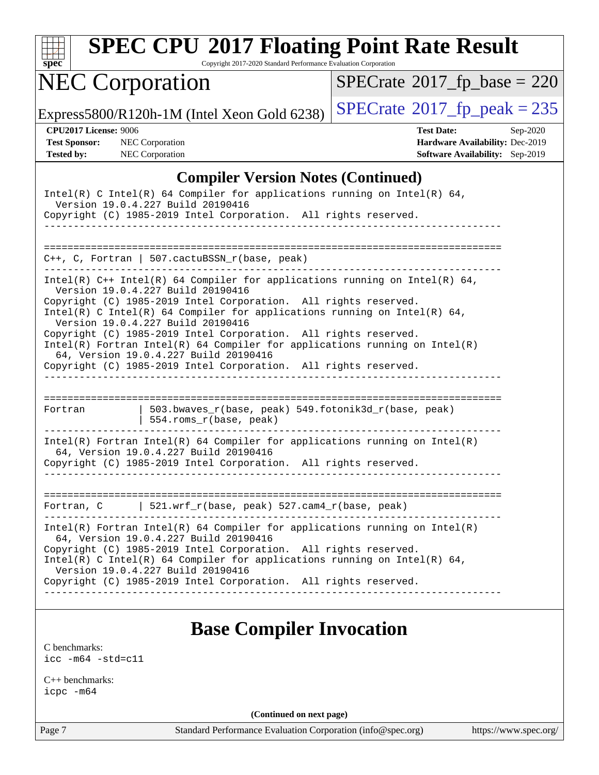

Copyright 2017-2020 Standard Performance Evaluation Corporation

## NEC Corporation

 $SPECrate$ <sup>®</sup>[2017\\_fp\\_base =](http://www.spec.org/auto/cpu2017/Docs/result-fields.html#SPECrate2017fpbase) 220

Express5800/R120h-1M (Intel Xeon Gold 6238)  $\left|$  [SPECrate](http://www.spec.org/auto/cpu2017/Docs/result-fields.html#SPECrate2017fppeak)®[2017\\_fp\\_peak = 2](http://www.spec.org/auto/cpu2017/Docs/result-fields.html#SPECrate2017fppeak)35

**[CPU2017 License:](http://www.spec.org/auto/cpu2017/Docs/result-fields.html#CPU2017License)** 9006 **[Test Date:](http://www.spec.org/auto/cpu2017/Docs/result-fields.html#TestDate)** Sep-2020 **[Test Sponsor:](http://www.spec.org/auto/cpu2017/Docs/result-fields.html#TestSponsor)** NEC Corporation **[Hardware Availability:](http://www.spec.org/auto/cpu2017/Docs/result-fields.html#HardwareAvailability)** Dec-2019 **[Tested by:](http://www.spec.org/auto/cpu2017/Docs/result-fields.html#Testedby)** NEC Corporation **[Software Availability:](http://www.spec.org/auto/cpu2017/Docs/result-fields.html#SoftwareAvailability)** Sep-2019

#### **[Compiler Version Notes \(Continued\)](http://www.spec.org/auto/cpu2017/Docs/result-fields.html#CompilerVersionNotes)**

| Intel(R) C Intel(R) 64 Compiler for applications running on Intel(R) 64,<br>Version 19.0.4.227 Build 20190416<br>Copyright (C) 1985-2019 Intel Corporation. All rights reserved.                                                                                                                                                                                                                                                                                                                                                                                     |                                                                                                                                                                                                                                                                                                                                                                              |  |  |  |  |
|----------------------------------------------------------------------------------------------------------------------------------------------------------------------------------------------------------------------------------------------------------------------------------------------------------------------------------------------------------------------------------------------------------------------------------------------------------------------------------------------------------------------------------------------------------------------|------------------------------------------------------------------------------------------------------------------------------------------------------------------------------------------------------------------------------------------------------------------------------------------------------------------------------------------------------------------------------|--|--|--|--|
| $C_{++}$ , C, Fortran   507.cactuBSSN_r(base, peak)<br>______________                                                                                                                                                                                                                                                                                                                                                                                                                                                                                                |                                                                                                                                                                                                                                                                                                                                                                              |  |  |  |  |
| Intel(R) $C++$ Intel(R) 64 Compiler for applications running on Intel(R) 64,<br>Version 19.0.4.227 Build 20190416<br>Copyright (C) 1985-2019 Intel Corporation. All rights reserved.<br>Intel(R) C Intel(R) 64 Compiler for applications running on Intel(R) 64,<br>Version 19.0.4.227 Build 20190416<br>Copyright (C) 1985-2019 Intel Corporation. All rights reserved.<br>Intel(R) Fortran Intel(R) 64 Compiler for applications running on $Intel(R)$<br>64, Version 19.0.4.227 Build 20190416<br>Copyright (C) 1985-2019 Intel Corporation. All rights reserved. |                                                                                                                                                                                                                                                                                                                                                                              |  |  |  |  |
| Fortran                                                                                                                                                                                                                                                                                                                                                                                                                                                                                                                                                              | 503.bwaves_r(base, peak) 549.fotonik3d_r(base, peak)<br>554.roms_r(base, peak)                                                                                                                                                                                                                                                                                               |  |  |  |  |
| $Intel(R)$ Fortran Intel(R) 64 Compiler for applications running on Intel(R)<br>64, Version 19.0.4.227 Build 20190416<br>Copyright (C) 1985-2019 Intel Corporation. All rights reserved.                                                                                                                                                                                                                                                                                                                                                                             |                                                                                                                                                                                                                                                                                                                                                                              |  |  |  |  |
|                                                                                                                                                                                                                                                                                                                                                                                                                                                                                                                                                                      | Fortran, C   521.wrf_r(base, peak) 527.cam4_r(base, peak)                                                                                                                                                                                                                                                                                                                    |  |  |  |  |
|                                                                                                                                                                                                                                                                                                                                                                                                                                                                                                                                                                      | $Intel(R)$ Fortran Intel(R) 64 Compiler for applications running on Intel(R)<br>64, Version 19.0.4.227 Build 20190416<br>Copyright (C) 1985-2019 Intel Corporation. All rights reserved.<br>Intel(R) C Intel(R) 64 Compiler for applications running on Intel(R) 64,<br>Version 19.0.4.227 Build 20190416<br>Copyright (C) 1985-2019 Intel Corporation. All rights reserved. |  |  |  |  |

#### **[Base Compiler Invocation](http://www.spec.org/auto/cpu2017/Docs/result-fields.html#BaseCompilerInvocation)**

[C benchmarks](http://www.spec.org/auto/cpu2017/Docs/result-fields.html#Cbenchmarks): [icc -m64 -std=c11](http://www.spec.org/cpu2017/results/res2020q4/cpu2017-20200928-24113.flags.html#user_CCbase_intel_icc_64bit_c11_33ee0cdaae7deeeab2a9725423ba97205ce30f63b9926c2519791662299b76a0318f32ddfffdc46587804de3178b4f9328c46fa7c2b0cd779d7a61945c91cd35)

[C++ benchmarks:](http://www.spec.org/auto/cpu2017/Docs/result-fields.html#CXXbenchmarks) [icpc -m64](http://www.spec.org/cpu2017/results/res2020q4/cpu2017-20200928-24113.flags.html#user_CXXbase_intel_icpc_64bit_4ecb2543ae3f1412ef961e0650ca070fec7b7afdcd6ed48761b84423119d1bf6bdf5cad15b44d48e7256388bc77273b966e5eb805aefd121eb22e9299b2ec9d9)

**(Continued on next page)**

Page 7 Standard Performance Evaluation Corporation [\(info@spec.org\)](mailto:info@spec.org) <https://www.spec.org/>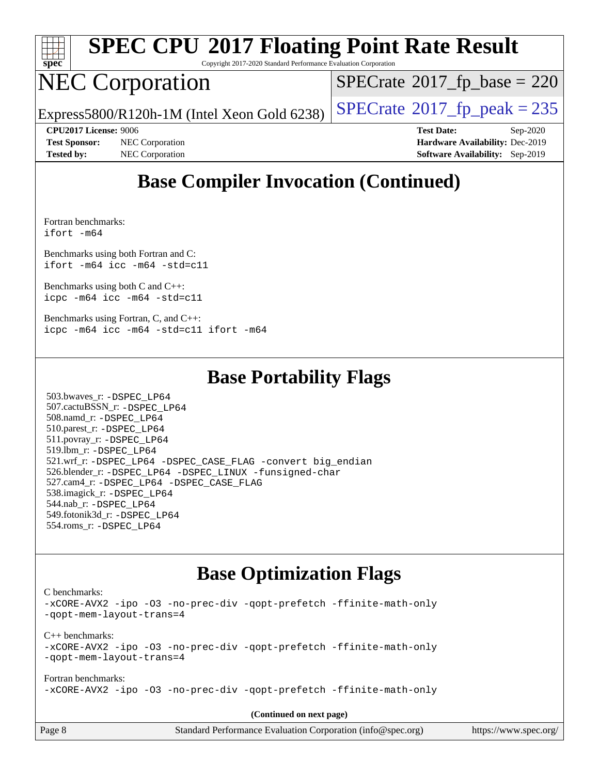

Copyright 2017-2020 Standard Performance Evaluation Corporation

## NEC Corporation

 $SPECTate$ <sup>®</sup>[2017\\_fp\\_base =](http://www.spec.org/auto/cpu2017/Docs/result-fields.html#SPECrate2017fpbase) 220

Express5800/R120h-1M (Intel Xeon Gold 6238)  $\left|$  [SPECrate](http://www.spec.org/auto/cpu2017/Docs/result-fields.html#SPECrate2017fppeak)®[2017\\_fp\\_peak = 2](http://www.spec.org/auto/cpu2017/Docs/result-fields.html#SPECrate2017fppeak)35

**[Test Sponsor:](http://www.spec.org/auto/cpu2017/Docs/result-fields.html#TestSponsor)** NEC Corporation **[Hardware Availability:](http://www.spec.org/auto/cpu2017/Docs/result-fields.html#HardwareAvailability)** Dec-2019 **[Tested by:](http://www.spec.org/auto/cpu2017/Docs/result-fields.html#Testedby)** NEC Corporation **[Software Availability:](http://www.spec.org/auto/cpu2017/Docs/result-fields.html#SoftwareAvailability)** Sep-2019

**[CPU2017 License:](http://www.spec.org/auto/cpu2017/Docs/result-fields.html#CPU2017License)** 9006 **[Test Date:](http://www.spec.org/auto/cpu2017/Docs/result-fields.html#TestDate)** Sep-2020

## **[Base Compiler Invocation \(Continued\)](http://www.spec.org/auto/cpu2017/Docs/result-fields.html#BaseCompilerInvocation)**

[Fortran benchmarks](http://www.spec.org/auto/cpu2017/Docs/result-fields.html#Fortranbenchmarks): [ifort -m64](http://www.spec.org/cpu2017/results/res2020q4/cpu2017-20200928-24113.flags.html#user_FCbase_intel_ifort_64bit_24f2bb282fbaeffd6157abe4f878425411749daecae9a33200eee2bee2fe76f3b89351d69a8130dd5949958ce389cf37ff59a95e7a40d588e8d3a57e0c3fd751)

[Benchmarks using both Fortran and C](http://www.spec.org/auto/cpu2017/Docs/result-fields.html#BenchmarksusingbothFortranandC): [ifort -m64](http://www.spec.org/cpu2017/results/res2020q4/cpu2017-20200928-24113.flags.html#user_CC_FCbase_intel_ifort_64bit_24f2bb282fbaeffd6157abe4f878425411749daecae9a33200eee2bee2fe76f3b89351d69a8130dd5949958ce389cf37ff59a95e7a40d588e8d3a57e0c3fd751) [icc -m64 -std=c11](http://www.spec.org/cpu2017/results/res2020q4/cpu2017-20200928-24113.flags.html#user_CC_FCbase_intel_icc_64bit_c11_33ee0cdaae7deeeab2a9725423ba97205ce30f63b9926c2519791662299b76a0318f32ddfffdc46587804de3178b4f9328c46fa7c2b0cd779d7a61945c91cd35)

[Benchmarks using both C and C++](http://www.spec.org/auto/cpu2017/Docs/result-fields.html#BenchmarksusingbothCandCXX): [icpc -m64](http://www.spec.org/cpu2017/results/res2020q4/cpu2017-20200928-24113.flags.html#user_CC_CXXbase_intel_icpc_64bit_4ecb2543ae3f1412ef961e0650ca070fec7b7afdcd6ed48761b84423119d1bf6bdf5cad15b44d48e7256388bc77273b966e5eb805aefd121eb22e9299b2ec9d9) [icc -m64 -std=c11](http://www.spec.org/cpu2017/results/res2020q4/cpu2017-20200928-24113.flags.html#user_CC_CXXbase_intel_icc_64bit_c11_33ee0cdaae7deeeab2a9725423ba97205ce30f63b9926c2519791662299b76a0318f32ddfffdc46587804de3178b4f9328c46fa7c2b0cd779d7a61945c91cd35)

[Benchmarks using Fortran, C, and C++:](http://www.spec.org/auto/cpu2017/Docs/result-fields.html#BenchmarksusingFortranCandCXX) [icpc -m64](http://www.spec.org/cpu2017/results/res2020q4/cpu2017-20200928-24113.flags.html#user_CC_CXX_FCbase_intel_icpc_64bit_4ecb2543ae3f1412ef961e0650ca070fec7b7afdcd6ed48761b84423119d1bf6bdf5cad15b44d48e7256388bc77273b966e5eb805aefd121eb22e9299b2ec9d9) [icc -m64 -std=c11](http://www.spec.org/cpu2017/results/res2020q4/cpu2017-20200928-24113.flags.html#user_CC_CXX_FCbase_intel_icc_64bit_c11_33ee0cdaae7deeeab2a9725423ba97205ce30f63b9926c2519791662299b76a0318f32ddfffdc46587804de3178b4f9328c46fa7c2b0cd779d7a61945c91cd35) [ifort -m64](http://www.spec.org/cpu2017/results/res2020q4/cpu2017-20200928-24113.flags.html#user_CC_CXX_FCbase_intel_ifort_64bit_24f2bb282fbaeffd6157abe4f878425411749daecae9a33200eee2bee2fe76f3b89351d69a8130dd5949958ce389cf37ff59a95e7a40d588e8d3a57e0c3fd751)

#### **[Base Portability Flags](http://www.spec.org/auto/cpu2017/Docs/result-fields.html#BasePortabilityFlags)**

 503.bwaves\_r: [-DSPEC\\_LP64](http://www.spec.org/cpu2017/results/res2020q4/cpu2017-20200928-24113.flags.html#suite_basePORTABILITY503_bwaves_r_DSPEC_LP64) 507.cactuBSSN\_r: [-DSPEC\\_LP64](http://www.spec.org/cpu2017/results/res2020q4/cpu2017-20200928-24113.flags.html#suite_basePORTABILITY507_cactuBSSN_r_DSPEC_LP64) 508.namd\_r: [-DSPEC\\_LP64](http://www.spec.org/cpu2017/results/res2020q4/cpu2017-20200928-24113.flags.html#suite_basePORTABILITY508_namd_r_DSPEC_LP64) 510.parest\_r: [-DSPEC\\_LP64](http://www.spec.org/cpu2017/results/res2020q4/cpu2017-20200928-24113.flags.html#suite_basePORTABILITY510_parest_r_DSPEC_LP64) 511.povray\_r: [-DSPEC\\_LP64](http://www.spec.org/cpu2017/results/res2020q4/cpu2017-20200928-24113.flags.html#suite_basePORTABILITY511_povray_r_DSPEC_LP64) 519.lbm\_r: [-DSPEC\\_LP64](http://www.spec.org/cpu2017/results/res2020q4/cpu2017-20200928-24113.flags.html#suite_basePORTABILITY519_lbm_r_DSPEC_LP64) 521.wrf\_r: [-DSPEC\\_LP64](http://www.spec.org/cpu2017/results/res2020q4/cpu2017-20200928-24113.flags.html#suite_basePORTABILITY521_wrf_r_DSPEC_LP64) [-DSPEC\\_CASE\\_FLAG](http://www.spec.org/cpu2017/results/res2020q4/cpu2017-20200928-24113.flags.html#b521.wrf_r_baseCPORTABILITY_DSPEC_CASE_FLAG) [-convert big\\_endian](http://www.spec.org/cpu2017/results/res2020q4/cpu2017-20200928-24113.flags.html#user_baseFPORTABILITY521_wrf_r_convert_big_endian_c3194028bc08c63ac5d04de18c48ce6d347e4e562e8892b8bdbdc0214820426deb8554edfa529a3fb25a586e65a3d812c835984020483e7e73212c4d31a38223) 526.blender\_r: [-DSPEC\\_LP64](http://www.spec.org/cpu2017/results/res2020q4/cpu2017-20200928-24113.flags.html#suite_basePORTABILITY526_blender_r_DSPEC_LP64) [-DSPEC\\_LINUX](http://www.spec.org/cpu2017/results/res2020q4/cpu2017-20200928-24113.flags.html#b526.blender_r_baseCPORTABILITY_DSPEC_LINUX) [-funsigned-char](http://www.spec.org/cpu2017/results/res2020q4/cpu2017-20200928-24113.flags.html#user_baseCPORTABILITY526_blender_r_force_uchar_40c60f00ab013830e2dd6774aeded3ff59883ba5a1fc5fc14077f794d777847726e2a5858cbc7672e36e1b067e7e5c1d9a74f7176df07886a243d7cc18edfe67) 527.cam4\_r: [-DSPEC\\_LP64](http://www.spec.org/cpu2017/results/res2020q4/cpu2017-20200928-24113.flags.html#suite_basePORTABILITY527_cam4_r_DSPEC_LP64) [-DSPEC\\_CASE\\_FLAG](http://www.spec.org/cpu2017/results/res2020q4/cpu2017-20200928-24113.flags.html#b527.cam4_r_baseCPORTABILITY_DSPEC_CASE_FLAG) 538.imagick\_r: [-DSPEC\\_LP64](http://www.spec.org/cpu2017/results/res2020q4/cpu2017-20200928-24113.flags.html#suite_basePORTABILITY538_imagick_r_DSPEC_LP64) 544.nab\_r: [-DSPEC\\_LP64](http://www.spec.org/cpu2017/results/res2020q4/cpu2017-20200928-24113.flags.html#suite_basePORTABILITY544_nab_r_DSPEC_LP64) 549.fotonik3d\_r: [-DSPEC\\_LP64](http://www.spec.org/cpu2017/results/res2020q4/cpu2017-20200928-24113.flags.html#suite_basePORTABILITY549_fotonik3d_r_DSPEC_LP64) 554.roms\_r: [-DSPEC\\_LP64](http://www.spec.org/cpu2017/results/res2020q4/cpu2017-20200928-24113.flags.html#suite_basePORTABILITY554_roms_r_DSPEC_LP64)

## **[Base Optimization Flags](http://www.spec.org/auto/cpu2017/Docs/result-fields.html#BaseOptimizationFlags)**

[C benchmarks](http://www.spec.org/auto/cpu2017/Docs/result-fields.html#Cbenchmarks):

[-xCORE-AVX2](http://www.spec.org/cpu2017/results/res2020q4/cpu2017-20200928-24113.flags.html#user_CCbase_f-xCORE-AVX2) [-ipo](http://www.spec.org/cpu2017/results/res2020q4/cpu2017-20200928-24113.flags.html#user_CCbase_f-ipo) [-O3](http://www.spec.org/cpu2017/results/res2020q4/cpu2017-20200928-24113.flags.html#user_CCbase_f-O3) [-no-prec-div](http://www.spec.org/cpu2017/results/res2020q4/cpu2017-20200928-24113.flags.html#user_CCbase_f-no-prec-div) [-qopt-prefetch](http://www.spec.org/cpu2017/results/res2020q4/cpu2017-20200928-24113.flags.html#user_CCbase_f-qopt-prefetch) [-ffinite-math-only](http://www.spec.org/cpu2017/results/res2020q4/cpu2017-20200928-24113.flags.html#user_CCbase_f_finite_math_only_cb91587bd2077682c4b38af759c288ed7c732db004271a9512da14a4f8007909a5f1427ecbf1a0fb78ff2a814402c6114ac565ca162485bbcae155b5e4258871) [-qopt-mem-layout-trans=4](http://www.spec.org/cpu2017/results/res2020q4/cpu2017-20200928-24113.flags.html#user_CCbase_f-qopt-mem-layout-trans_fa39e755916c150a61361b7846f310bcdf6f04e385ef281cadf3647acec3f0ae266d1a1d22d972a7087a248fd4e6ca390a3634700869573d231a252c784941a8) [C++ benchmarks:](http://www.spec.org/auto/cpu2017/Docs/result-fields.html#CXXbenchmarks) [-xCORE-AVX2](http://www.spec.org/cpu2017/results/res2020q4/cpu2017-20200928-24113.flags.html#user_CXXbase_f-xCORE-AVX2) [-ipo](http://www.spec.org/cpu2017/results/res2020q4/cpu2017-20200928-24113.flags.html#user_CXXbase_f-ipo) [-O3](http://www.spec.org/cpu2017/results/res2020q4/cpu2017-20200928-24113.flags.html#user_CXXbase_f-O3) [-no-prec-div](http://www.spec.org/cpu2017/results/res2020q4/cpu2017-20200928-24113.flags.html#user_CXXbase_f-no-prec-div) [-qopt-prefetch](http://www.spec.org/cpu2017/results/res2020q4/cpu2017-20200928-24113.flags.html#user_CXXbase_f-qopt-prefetch) [-ffinite-math-only](http://www.spec.org/cpu2017/results/res2020q4/cpu2017-20200928-24113.flags.html#user_CXXbase_f_finite_math_only_cb91587bd2077682c4b38af759c288ed7c732db004271a9512da14a4f8007909a5f1427ecbf1a0fb78ff2a814402c6114ac565ca162485bbcae155b5e4258871) [-qopt-mem-layout-trans=4](http://www.spec.org/cpu2017/results/res2020q4/cpu2017-20200928-24113.flags.html#user_CXXbase_f-qopt-mem-layout-trans_fa39e755916c150a61361b7846f310bcdf6f04e385ef281cadf3647acec3f0ae266d1a1d22d972a7087a248fd4e6ca390a3634700869573d231a252c784941a8) [Fortran benchmarks](http://www.spec.org/auto/cpu2017/Docs/result-fields.html#Fortranbenchmarks): [-xCORE-AVX2](http://www.spec.org/cpu2017/results/res2020q4/cpu2017-20200928-24113.flags.html#user_FCbase_f-xCORE-AVX2) [-ipo](http://www.spec.org/cpu2017/results/res2020q4/cpu2017-20200928-24113.flags.html#user_FCbase_f-ipo) [-O3](http://www.spec.org/cpu2017/results/res2020q4/cpu2017-20200928-24113.flags.html#user_FCbase_f-O3) [-no-prec-div](http://www.spec.org/cpu2017/results/res2020q4/cpu2017-20200928-24113.flags.html#user_FCbase_f-no-prec-div) [-qopt-prefetch](http://www.spec.org/cpu2017/results/res2020q4/cpu2017-20200928-24113.flags.html#user_FCbase_f-qopt-prefetch) [-ffinite-math-only](http://www.spec.org/cpu2017/results/res2020q4/cpu2017-20200928-24113.flags.html#user_FCbase_f_finite_math_only_cb91587bd2077682c4b38af759c288ed7c732db004271a9512da14a4f8007909a5f1427ecbf1a0fb78ff2a814402c6114ac565ca162485bbcae155b5e4258871)

**(Continued on next page)**

| Page 8 | Standard Performance Evaluation Corporation (info@spec.org) | https://www.spec.org/ |
|--------|-------------------------------------------------------------|-----------------------|
|--------|-------------------------------------------------------------|-----------------------|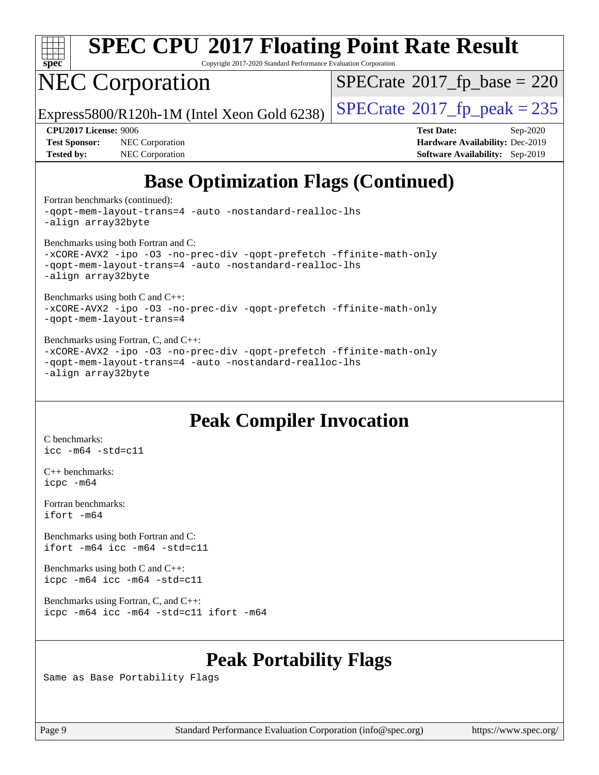

Copyright 2017-2020 Standard Performance Evaluation Corporation

## NEC Corporation

 $SPECTate$ <sup>®</sup>[2017\\_fp\\_base =](http://www.spec.org/auto/cpu2017/Docs/result-fields.html#SPECrate2017fpbase) 220

Express5800/R120h-1M (Intel Xeon Gold 6238)  $\left|$  [SPECrate](http://www.spec.org/auto/cpu2017/Docs/result-fields.html#SPECrate2017fppeak)®[2017\\_fp\\_peak = 2](http://www.spec.org/auto/cpu2017/Docs/result-fields.html#SPECrate2017fppeak)35

**[Test Sponsor:](http://www.spec.org/auto/cpu2017/Docs/result-fields.html#TestSponsor)** NEC Corporation **[Hardware Availability:](http://www.spec.org/auto/cpu2017/Docs/result-fields.html#HardwareAvailability)** Dec-2019 **[Tested by:](http://www.spec.org/auto/cpu2017/Docs/result-fields.html#Testedby)** NEC Corporation **[Software Availability:](http://www.spec.org/auto/cpu2017/Docs/result-fields.html#SoftwareAvailability)** Sep-2019

**[CPU2017 License:](http://www.spec.org/auto/cpu2017/Docs/result-fields.html#CPU2017License)** 9006 **[Test Date:](http://www.spec.org/auto/cpu2017/Docs/result-fields.html#TestDate)** Sep-2020

## **[Base Optimization Flags \(Continued\)](http://www.spec.org/auto/cpu2017/Docs/result-fields.html#BaseOptimizationFlags)**

[Fortran benchmarks](http://www.spec.org/auto/cpu2017/Docs/result-fields.html#Fortranbenchmarks) (continued):

[-qopt-mem-layout-trans=4](http://www.spec.org/cpu2017/results/res2020q4/cpu2017-20200928-24113.flags.html#user_FCbase_f-qopt-mem-layout-trans_fa39e755916c150a61361b7846f310bcdf6f04e385ef281cadf3647acec3f0ae266d1a1d22d972a7087a248fd4e6ca390a3634700869573d231a252c784941a8) [-auto](http://www.spec.org/cpu2017/results/res2020q4/cpu2017-20200928-24113.flags.html#user_FCbase_f-auto) [-nostandard-realloc-lhs](http://www.spec.org/cpu2017/results/res2020q4/cpu2017-20200928-24113.flags.html#user_FCbase_f_2003_std_realloc_82b4557e90729c0f113870c07e44d33d6f5a304b4f63d4c15d2d0f1fab99f5daaed73bdb9275d9ae411527f28b936061aa8b9c8f2d63842963b95c9dd6426b8a) [-align array32byte](http://www.spec.org/cpu2017/results/res2020q4/cpu2017-20200928-24113.flags.html#user_FCbase_align_array32byte_b982fe038af199962ba9a80c053b8342c548c85b40b8e86eb3cc33dee0d7986a4af373ac2d51c3f7cf710a18d62fdce2948f201cd044323541f22fc0fffc51b6)

[Benchmarks using both Fortran and C](http://www.spec.org/auto/cpu2017/Docs/result-fields.html#BenchmarksusingbothFortranandC):

[-xCORE-AVX2](http://www.spec.org/cpu2017/results/res2020q4/cpu2017-20200928-24113.flags.html#user_CC_FCbase_f-xCORE-AVX2) [-ipo](http://www.spec.org/cpu2017/results/res2020q4/cpu2017-20200928-24113.flags.html#user_CC_FCbase_f-ipo) [-O3](http://www.spec.org/cpu2017/results/res2020q4/cpu2017-20200928-24113.flags.html#user_CC_FCbase_f-O3) [-no-prec-div](http://www.spec.org/cpu2017/results/res2020q4/cpu2017-20200928-24113.flags.html#user_CC_FCbase_f-no-prec-div) [-qopt-prefetch](http://www.spec.org/cpu2017/results/res2020q4/cpu2017-20200928-24113.flags.html#user_CC_FCbase_f-qopt-prefetch) [-ffinite-math-only](http://www.spec.org/cpu2017/results/res2020q4/cpu2017-20200928-24113.flags.html#user_CC_FCbase_f_finite_math_only_cb91587bd2077682c4b38af759c288ed7c732db004271a9512da14a4f8007909a5f1427ecbf1a0fb78ff2a814402c6114ac565ca162485bbcae155b5e4258871) [-qopt-mem-layout-trans=4](http://www.spec.org/cpu2017/results/res2020q4/cpu2017-20200928-24113.flags.html#user_CC_FCbase_f-qopt-mem-layout-trans_fa39e755916c150a61361b7846f310bcdf6f04e385ef281cadf3647acec3f0ae266d1a1d22d972a7087a248fd4e6ca390a3634700869573d231a252c784941a8) [-auto](http://www.spec.org/cpu2017/results/res2020q4/cpu2017-20200928-24113.flags.html#user_CC_FCbase_f-auto) [-nostandard-realloc-lhs](http://www.spec.org/cpu2017/results/res2020q4/cpu2017-20200928-24113.flags.html#user_CC_FCbase_f_2003_std_realloc_82b4557e90729c0f113870c07e44d33d6f5a304b4f63d4c15d2d0f1fab99f5daaed73bdb9275d9ae411527f28b936061aa8b9c8f2d63842963b95c9dd6426b8a) [-align array32byte](http://www.spec.org/cpu2017/results/res2020q4/cpu2017-20200928-24113.flags.html#user_CC_FCbase_align_array32byte_b982fe038af199962ba9a80c053b8342c548c85b40b8e86eb3cc33dee0d7986a4af373ac2d51c3f7cf710a18d62fdce2948f201cd044323541f22fc0fffc51b6)

[Benchmarks using both C and C++](http://www.spec.org/auto/cpu2017/Docs/result-fields.html#BenchmarksusingbothCandCXX):

[-xCORE-AVX2](http://www.spec.org/cpu2017/results/res2020q4/cpu2017-20200928-24113.flags.html#user_CC_CXXbase_f-xCORE-AVX2) [-ipo](http://www.spec.org/cpu2017/results/res2020q4/cpu2017-20200928-24113.flags.html#user_CC_CXXbase_f-ipo) [-O3](http://www.spec.org/cpu2017/results/res2020q4/cpu2017-20200928-24113.flags.html#user_CC_CXXbase_f-O3) [-no-prec-div](http://www.spec.org/cpu2017/results/res2020q4/cpu2017-20200928-24113.flags.html#user_CC_CXXbase_f-no-prec-div) [-qopt-prefetch](http://www.spec.org/cpu2017/results/res2020q4/cpu2017-20200928-24113.flags.html#user_CC_CXXbase_f-qopt-prefetch) [-ffinite-math-only](http://www.spec.org/cpu2017/results/res2020q4/cpu2017-20200928-24113.flags.html#user_CC_CXXbase_f_finite_math_only_cb91587bd2077682c4b38af759c288ed7c732db004271a9512da14a4f8007909a5f1427ecbf1a0fb78ff2a814402c6114ac565ca162485bbcae155b5e4258871) [-qopt-mem-layout-trans=4](http://www.spec.org/cpu2017/results/res2020q4/cpu2017-20200928-24113.flags.html#user_CC_CXXbase_f-qopt-mem-layout-trans_fa39e755916c150a61361b7846f310bcdf6f04e385ef281cadf3647acec3f0ae266d1a1d22d972a7087a248fd4e6ca390a3634700869573d231a252c784941a8)

#### [Benchmarks using Fortran, C, and C++:](http://www.spec.org/auto/cpu2017/Docs/result-fields.html#BenchmarksusingFortranCandCXX)

[-xCORE-AVX2](http://www.spec.org/cpu2017/results/res2020q4/cpu2017-20200928-24113.flags.html#user_CC_CXX_FCbase_f-xCORE-AVX2) [-ipo](http://www.spec.org/cpu2017/results/res2020q4/cpu2017-20200928-24113.flags.html#user_CC_CXX_FCbase_f-ipo) [-O3](http://www.spec.org/cpu2017/results/res2020q4/cpu2017-20200928-24113.flags.html#user_CC_CXX_FCbase_f-O3) [-no-prec-div](http://www.spec.org/cpu2017/results/res2020q4/cpu2017-20200928-24113.flags.html#user_CC_CXX_FCbase_f-no-prec-div) [-qopt-prefetch](http://www.spec.org/cpu2017/results/res2020q4/cpu2017-20200928-24113.flags.html#user_CC_CXX_FCbase_f-qopt-prefetch) [-ffinite-math-only](http://www.spec.org/cpu2017/results/res2020q4/cpu2017-20200928-24113.flags.html#user_CC_CXX_FCbase_f_finite_math_only_cb91587bd2077682c4b38af759c288ed7c732db004271a9512da14a4f8007909a5f1427ecbf1a0fb78ff2a814402c6114ac565ca162485bbcae155b5e4258871) [-qopt-mem-layout-trans=4](http://www.spec.org/cpu2017/results/res2020q4/cpu2017-20200928-24113.flags.html#user_CC_CXX_FCbase_f-qopt-mem-layout-trans_fa39e755916c150a61361b7846f310bcdf6f04e385ef281cadf3647acec3f0ae266d1a1d22d972a7087a248fd4e6ca390a3634700869573d231a252c784941a8) [-auto](http://www.spec.org/cpu2017/results/res2020q4/cpu2017-20200928-24113.flags.html#user_CC_CXX_FCbase_f-auto) [-nostandard-realloc-lhs](http://www.spec.org/cpu2017/results/res2020q4/cpu2017-20200928-24113.flags.html#user_CC_CXX_FCbase_f_2003_std_realloc_82b4557e90729c0f113870c07e44d33d6f5a304b4f63d4c15d2d0f1fab99f5daaed73bdb9275d9ae411527f28b936061aa8b9c8f2d63842963b95c9dd6426b8a) [-align array32byte](http://www.spec.org/cpu2017/results/res2020q4/cpu2017-20200928-24113.flags.html#user_CC_CXX_FCbase_align_array32byte_b982fe038af199962ba9a80c053b8342c548c85b40b8e86eb3cc33dee0d7986a4af373ac2d51c3f7cf710a18d62fdce2948f201cd044323541f22fc0fffc51b6)

#### **[Peak Compiler Invocation](http://www.spec.org/auto/cpu2017/Docs/result-fields.html#PeakCompilerInvocation)**

[C benchmarks](http://www.spec.org/auto/cpu2017/Docs/result-fields.html#Cbenchmarks): [icc -m64 -std=c11](http://www.spec.org/cpu2017/results/res2020q4/cpu2017-20200928-24113.flags.html#user_CCpeak_intel_icc_64bit_c11_33ee0cdaae7deeeab2a9725423ba97205ce30f63b9926c2519791662299b76a0318f32ddfffdc46587804de3178b4f9328c46fa7c2b0cd779d7a61945c91cd35)

[C++ benchmarks:](http://www.spec.org/auto/cpu2017/Docs/result-fields.html#CXXbenchmarks) [icpc -m64](http://www.spec.org/cpu2017/results/res2020q4/cpu2017-20200928-24113.flags.html#user_CXXpeak_intel_icpc_64bit_4ecb2543ae3f1412ef961e0650ca070fec7b7afdcd6ed48761b84423119d1bf6bdf5cad15b44d48e7256388bc77273b966e5eb805aefd121eb22e9299b2ec9d9)

[Fortran benchmarks](http://www.spec.org/auto/cpu2017/Docs/result-fields.html#Fortranbenchmarks): [ifort -m64](http://www.spec.org/cpu2017/results/res2020q4/cpu2017-20200928-24113.flags.html#user_FCpeak_intel_ifort_64bit_24f2bb282fbaeffd6157abe4f878425411749daecae9a33200eee2bee2fe76f3b89351d69a8130dd5949958ce389cf37ff59a95e7a40d588e8d3a57e0c3fd751)

[Benchmarks using both Fortran and C](http://www.spec.org/auto/cpu2017/Docs/result-fields.html#BenchmarksusingbothFortranandC): [ifort -m64](http://www.spec.org/cpu2017/results/res2020q4/cpu2017-20200928-24113.flags.html#user_CC_FCpeak_intel_ifort_64bit_24f2bb282fbaeffd6157abe4f878425411749daecae9a33200eee2bee2fe76f3b89351d69a8130dd5949958ce389cf37ff59a95e7a40d588e8d3a57e0c3fd751) [icc -m64 -std=c11](http://www.spec.org/cpu2017/results/res2020q4/cpu2017-20200928-24113.flags.html#user_CC_FCpeak_intel_icc_64bit_c11_33ee0cdaae7deeeab2a9725423ba97205ce30f63b9926c2519791662299b76a0318f32ddfffdc46587804de3178b4f9328c46fa7c2b0cd779d7a61945c91cd35)

[Benchmarks using both C and C++](http://www.spec.org/auto/cpu2017/Docs/result-fields.html#BenchmarksusingbothCandCXX): [icpc -m64](http://www.spec.org/cpu2017/results/res2020q4/cpu2017-20200928-24113.flags.html#user_CC_CXXpeak_intel_icpc_64bit_4ecb2543ae3f1412ef961e0650ca070fec7b7afdcd6ed48761b84423119d1bf6bdf5cad15b44d48e7256388bc77273b966e5eb805aefd121eb22e9299b2ec9d9) [icc -m64 -std=c11](http://www.spec.org/cpu2017/results/res2020q4/cpu2017-20200928-24113.flags.html#user_CC_CXXpeak_intel_icc_64bit_c11_33ee0cdaae7deeeab2a9725423ba97205ce30f63b9926c2519791662299b76a0318f32ddfffdc46587804de3178b4f9328c46fa7c2b0cd779d7a61945c91cd35)

[Benchmarks using Fortran, C, and C++:](http://www.spec.org/auto/cpu2017/Docs/result-fields.html#BenchmarksusingFortranCandCXX) [icpc -m64](http://www.spec.org/cpu2017/results/res2020q4/cpu2017-20200928-24113.flags.html#user_CC_CXX_FCpeak_intel_icpc_64bit_4ecb2543ae3f1412ef961e0650ca070fec7b7afdcd6ed48761b84423119d1bf6bdf5cad15b44d48e7256388bc77273b966e5eb805aefd121eb22e9299b2ec9d9) [icc -m64 -std=c11](http://www.spec.org/cpu2017/results/res2020q4/cpu2017-20200928-24113.flags.html#user_CC_CXX_FCpeak_intel_icc_64bit_c11_33ee0cdaae7deeeab2a9725423ba97205ce30f63b9926c2519791662299b76a0318f32ddfffdc46587804de3178b4f9328c46fa7c2b0cd779d7a61945c91cd35) [ifort -m64](http://www.spec.org/cpu2017/results/res2020q4/cpu2017-20200928-24113.flags.html#user_CC_CXX_FCpeak_intel_ifort_64bit_24f2bb282fbaeffd6157abe4f878425411749daecae9a33200eee2bee2fe76f3b89351d69a8130dd5949958ce389cf37ff59a95e7a40d588e8d3a57e0c3fd751)

#### **[Peak Portability Flags](http://www.spec.org/auto/cpu2017/Docs/result-fields.html#PeakPortabilityFlags)**

Same as Base Portability Flags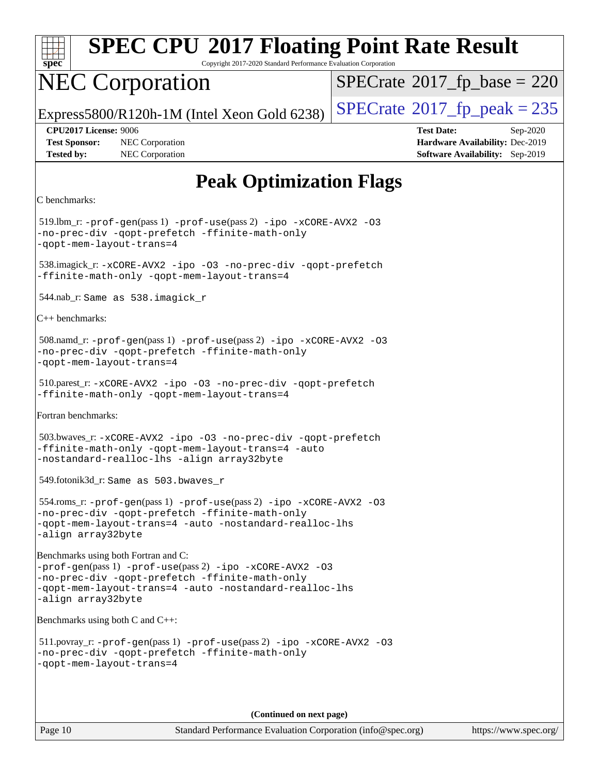

Copyright 2017-2020 Standard Performance Evaluation Corporation

## NEC Corporation

 $SPECTate$ <sup>®</sup>[2017\\_fp\\_base =](http://www.spec.org/auto/cpu2017/Docs/result-fields.html#SPECrate2017fpbase) 220

Express5800/R120h-1M (Intel Xeon Gold 6238)  $\left|$  [SPECrate](http://www.spec.org/auto/cpu2017/Docs/result-fields.html#SPECrate2017fppeak)®[2017\\_fp\\_peak = 2](http://www.spec.org/auto/cpu2017/Docs/result-fields.html#SPECrate2017fppeak)35

**[Test Sponsor:](http://www.spec.org/auto/cpu2017/Docs/result-fields.html#TestSponsor)** NEC Corporation **[Hardware Availability:](http://www.spec.org/auto/cpu2017/Docs/result-fields.html#HardwareAvailability)** Dec-2019 **[Tested by:](http://www.spec.org/auto/cpu2017/Docs/result-fields.html#Testedby)** NEC Corporation **[Software Availability:](http://www.spec.org/auto/cpu2017/Docs/result-fields.html#SoftwareAvailability)** Sep-2019

**[CPU2017 License:](http://www.spec.org/auto/cpu2017/Docs/result-fields.html#CPU2017License)** 9006 **[Test Date:](http://www.spec.org/auto/cpu2017/Docs/result-fields.html#TestDate)** Sep-2020

## **[Peak Optimization Flags](http://www.spec.org/auto/cpu2017/Docs/result-fields.html#PeakOptimizationFlags)**

```
C benchmarks:
```
519.lbm\_r:  $-prof-qen(pass 1) -prof-use(pass 2) -ipo -xCORE-AVX2 -O3$  $-prof-qen(pass 1) -prof-use(pass 2) -ipo -xCORE-AVX2 -O3$  $-prof-qen(pass 1) -prof-use(pass 2) -ipo -xCORE-AVX2 -O3$  $-prof-qen(pass 1) -prof-use(pass 2) -ipo -xCORE-AVX2 -O3$  $-prof-qen(pass 1) -prof-use(pass 2) -ipo -xCORE-AVX2 -O3$  $-prof-qen(pass 1) -prof-use(pass 2) -ipo -xCORE-AVX2 -O3$  $-prof-qen(pass 1) -prof-use(pass 2) -ipo -xCORE-AVX2 -O3$  $-prof-qen(pass 1) -prof-use(pass 2) -ipo -xCORE-AVX2 -O3$ [-no-prec-div](http://www.spec.org/cpu2017/results/res2020q4/cpu2017-20200928-24113.flags.html#user_peakPASS1_COPTIMIZEPASS2_COPTIMIZE519_lbm_r_f-no-prec-div) [-qopt-prefetch](http://www.spec.org/cpu2017/results/res2020q4/cpu2017-20200928-24113.flags.html#user_peakPASS1_COPTIMIZEPASS2_COPTIMIZE519_lbm_r_f-qopt-prefetch) [-ffinite-math-only](http://www.spec.org/cpu2017/results/res2020q4/cpu2017-20200928-24113.flags.html#user_peakPASS1_COPTIMIZEPASS2_COPTIMIZE519_lbm_r_f_finite_math_only_cb91587bd2077682c4b38af759c288ed7c732db004271a9512da14a4f8007909a5f1427ecbf1a0fb78ff2a814402c6114ac565ca162485bbcae155b5e4258871) [-qopt-mem-layout-trans=4](http://www.spec.org/cpu2017/results/res2020q4/cpu2017-20200928-24113.flags.html#user_peakPASS1_COPTIMIZEPASS2_COPTIMIZE519_lbm_r_f-qopt-mem-layout-trans_fa39e755916c150a61361b7846f310bcdf6f04e385ef281cadf3647acec3f0ae266d1a1d22d972a7087a248fd4e6ca390a3634700869573d231a252c784941a8) 538.imagick\_r: [-xCORE-AVX2](http://www.spec.org/cpu2017/results/res2020q4/cpu2017-20200928-24113.flags.html#user_peakCOPTIMIZE538_imagick_r_f-xCORE-AVX2) [-ipo](http://www.spec.org/cpu2017/results/res2020q4/cpu2017-20200928-24113.flags.html#user_peakCOPTIMIZE538_imagick_r_f-ipo) [-O3](http://www.spec.org/cpu2017/results/res2020q4/cpu2017-20200928-24113.flags.html#user_peakCOPTIMIZE538_imagick_r_f-O3) [-no-prec-div](http://www.spec.org/cpu2017/results/res2020q4/cpu2017-20200928-24113.flags.html#user_peakCOPTIMIZE538_imagick_r_f-no-prec-div) [-qopt-prefetch](http://www.spec.org/cpu2017/results/res2020q4/cpu2017-20200928-24113.flags.html#user_peakCOPTIMIZE538_imagick_r_f-qopt-prefetch) [-ffinite-math-only](http://www.spec.org/cpu2017/results/res2020q4/cpu2017-20200928-24113.flags.html#user_peakCOPTIMIZE538_imagick_r_f_finite_math_only_cb91587bd2077682c4b38af759c288ed7c732db004271a9512da14a4f8007909a5f1427ecbf1a0fb78ff2a814402c6114ac565ca162485bbcae155b5e4258871) [-qopt-mem-layout-trans=4](http://www.spec.org/cpu2017/results/res2020q4/cpu2017-20200928-24113.flags.html#user_peakCOPTIMIZE538_imagick_r_f-qopt-mem-layout-trans_fa39e755916c150a61361b7846f310bcdf6f04e385ef281cadf3647acec3f0ae266d1a1d22d972a7087a248fd4e6ca390a3634700869573d231a252c784941a8) 544.nab\_r: Same as 538.imagick\_r [C++ benchmarks](http://www.spec.org/auto/cpu2017/Docs/result-fields.html#CXXbenchmarks): 508.namd\_r: [-prof-gen](http://www.spec.org/cpu2017/results/res2020q4/cpu2017-20200928-24113.flags.html#user_peakPASS1_CXXFLAGSPASS1_LDFLAGS508_namd_r_prof_gen_5aa4926d6013ddb2a31985c654b3eb18169fc0c6952a63635c234f711e6e63dd76e94ad52365559451ec499a2cdb89e4dc58ba4c67ef54ca681ffbe1461d6b36)(pass 1) [-prof-use](http://www.spec.org/cpu2017/results/res2020q4/cpu2017-20200928-24113.flags.html#user_peakPASS2_CXXFLAGSPASS2_LDFLAGS508_namd_r_prof_use_1a21ceae95f36a2b53c25747139a6c16ca95bd9def2a207b4f0849963b97e94f5260e30a0c64f4bb623698870e679ca08317ef8150905d41bd88c6f78df73f19)(pass 2) [-ipo](http://www.spec.org/cpu2017/results/res2020q4/cpu2017-20200928-24113.flags.html#user_peakPASS1_CXXOPTIMIZEPASS2_CXXOPTIMIZE508_namd_r_f-ipo) [-xCORE-AVX2](http://www.spec.org/cpu2017/results/res2020q4/cpu2017-20200928-24113.flags.html#user_peakPASS2_CXXOPTIMIZE508_namd_r_f-xCORE-AVX2) [-O3](http://www.spec.org/cpu2017/results/res2020q4/cpu2017-20200928-24113.flags.html#user_peakPASS1_CXXOPTIMIZEPASS2_CXXOPTIMIZE508_namd_r_f-O3) [-no-prec-div](http://www.spec.org/cpu2017/results/res2020q4/cpu2017-20200928-24113.flags.html#user_peakPASS1_CXXOPTIMIZEPASS2_CXXOPTIMIZE508_namd_r_f-no-prec-div) [-qopt-prefetch](http://www.spec.org/cpu2017/results/res2020q4/cpu2017-20200928-24113.flags.html#user_peakPASS1_CXXOPTIMIZEPASS2_CXXOPTIMIZE508_namd_r_f-qopt-prefetch) [-ffinite-math-only](http://www.spec.org/cpu2017/results/res2020q4/cpu2017-20200928-24113.flags.html#user_peakPASS1_CXXOPTIMIZEPASS2_CXXOPTIMIZE508_namd_r_f_finite_math_only_cb91587bd2077682c4b38af759c288ed7c732db004271a9512da14a4f8007909a5f1427ecbf1a0fb78ff2a814402c6114ac565ca162485bbcae155b5e4258871) [-qopt-mem-layout-trans=4](http://www.spec.org/cpu2017/results/res2020q4/cpu2017-20200928-24113.flags.html#user_peakPASS1_CXXOPTIMIZEPASS2_CXXOPTIMIZE508_namd_r_f-qopt-mem-layout-trans_fa39e755916c150a61361b7846f310bcdf6f04e385ef281cadf3647acec3f0ae266d1a1d22d972a7087a248fd4e6ca390a3634700869573d231a252c784941a8) 510.parest\_r: [-xCORE-AVX2](http://www.spec.org/cpu2017/results/res2020q4/cpu2017-20200928-24113.flags.html#user_peakCXXOPTIMIZE510_parest_r_f-xCORE-AVX2) [-ipo](http://www.spec.org/cpu2017/results/res2020q4/cpu2017-20200928-24113.flags.html#user_peakCXXOPTIMIZE510_parest_r_f-ipo) [-O3](http://www.spec.org/cpu2017/results/res2020q4/cpu2017-20200928-24113.flags.html#user_peakCXXOPTIMIZE510_parest_r_f-O3) [-no-prec-div](http://www.spec.org/cpu2017/results/res2020q4/cpu2017-20200928-24113.flags.html#user_peakCXXOPTIMIZE510_parest_r_f-no-prec-div) [-qopt-prefetch](http://www.spec.org/cpu2017/results/res2020q4/cpu2017-20200928-24113.flags.html#user_peakCXXOPTIMIZE510_parest_r_f-qopt-prefetch) [-ffinite-math-only](http://www.spec.org/cpu2017/results/res2020q4/cpu2017-20200928-24113.flags.html#user_peakCXXOPTIMIZE510_parest_r_f_finite_math_only_cb91587bd2077682c4b38af759c288ed7c732db004271a9512da14a4f8007909a5f1427ecbf1a0fb78ff2a814402c6114ac565ca162485bbcae155b5e4258871) [-qopt-mem-layout-trans=4](http://www.spec.org/cpu2017/results/res2020q4/cpu2017-20200928-24113.flags.html#user_peakCXXOPTIMIZE510_parest_r_f-qopt-mem-layout-trans_fa39e755916c150a61361b7846f310bcdf6f04e385ef281cadf3647acec3f0ae266d1a1d22d972a7087a248fd4e6ca390a3634700869573d231a252c784941a8) [Fortran benchmarks:](http://www.spec.org/auto/cpu2017/Docs/result-fields.html#Fortranbenchmarks) 503.bwaves\_r: [-xCORE-AVX2](http://www.spec.org/cpu2017/results/res2020q4/cpu2017-20200928-24113.flags.html#user_peakFOPTIMIZE503_bwaves_r_f-xCORE-AVX2) [-ipo](http://www.spec.org/cpu2017/results/res2020q4/cpu2017-20200928-24113.flags.html#user_peakFOPTIMIZE503_bwaves_r_f-ipo) [-O3](http://www.spec.org/cpu2017/results/res2020q4/cpu2017-20200928-24113.flags.html#user_peakFOPTIMIZE503_bwaves_r_f-O3) [-no-prec-div](http://www.spec.org/cpu2017/results/res2020q4/cpu2017-20200928-24113.flags.html#user_peakFOPTIMIZE503_bwaves_r_f-no-prec-div) [-qopt-prefetch](http://www.spec.org/cpu2017/results/res2020q4/cpu2017-20200928-24113.flags.html#user_peakFOPTIMIZE503_bwaves_r_f-qopt-prefetch) [-ffinite-math-only](http://www.spec.org/cpu2017/results/res2020q4/cpu2017-20200928-24113.flags.html#user_peakFOPTIMIZE503_bwaves_r_f_finite_math_only_cb91587bd2077682c4b38af759c288ed7c732db004271a9512da14a4f8007909a5f1427ecbf1a0fb78ff2a814402c6114ac565ca162485bbcae155b5e4258871) [-qopt-mem-layout-trans=4](http://www.spec.org/cpu2017/results/res2020q4/cpu2017-20200928-24113.flags.html#user_peakFOPTIMIZE503_bwaves_r_f-qopt-mem-layout-trans_fa39e755916c150a61361b7846f310bcdf6f04e385ef281cadf3647acec3f0ae266d1a1d22d972a7087a248fd4e6ca390a3634700869573d231a252c784941a8) [-auto](http://www.spec.org/cpu2017/results/res2020q4/cpu2017-20200928-24113.flags.html#user_peakFOPTIMIZE503_bwaves_r_f-auto) [-nostandard-realloc-lhs](http://www.spec.org/cpu2017/results/res2020q4/cpu2017-20200928-24113.flags.html#user_peakEXTRA_FOPTIMIZE503_bwaves_r_f_2003_std_realloc_82b4557e90729c0f113870c07e44d33d6f5a304b4f63d4c15d2d0f1fab99f5daaed73bdb9275d9ae411527f28b936061aa8b9c8f2d63842963b95c9dd6426b8a) [-align array32byte](http://www.spec.org/cpu2017/results/res2020q4/cpu2017-20200928-24113.flags.html#user_peakEXTRA_FOPTIMIZE503_bwaves_r_align_array32byte_b982fe038af199962ba9a80c053b8342c548c85b40b8e86eb3cc33dee0d7986a4af373ac2d51c3f7cf710a18d62fdce2948f201cd044323541f22fc0fffc51b6) 549.fotonik3d\_r: Same as 503.bwaves\_r 554.roms\_r: [-prof-gen](http://www.spec.org/cpu2017/results/res2020q4/cpu2017-20200928-24113.flags.html#user_peakPASS1_FFLAGSPASS1_LDFLAGS554_roms_r_prof_gen_5aa4926d6013ddb2a31985c654b3eb18169fc0c6952a63635c234f711e6e63dd76e94ad52365559451ec499a2cdb89e4dc58ba4c67ef54ca681ffbe1461d6b36)(pass 1) [-prof-use](http://www.spec.org/cpu2017/results/res2020q4/cpu2017-20200928-24113.flags.html#user_peakPASS2_FFLAGSPASS2_LDFLAGS554_roms_r_prof_use_1a21ceae95f36a2b53c25747139a6c16ca95bd9def2a207b4f0849963b97e94f5260e30a0c64f4bb623698870e679ca08317ef8150905d41bd88c6f78df73f19)(pass 2) [-ipo](http://www.spec.org/cpu2017/results/res2020q4/cpu2017-20200928-24113.flags.html#user_peakPASS1_FOPTIMIZEPASS2_FOPTIMIZE554_roms_r_f-ipo) [-xCORE-AVX2](http://www.spec.org/cpu2017/results/res2020q4/cpu2017-20200928-24113.flags.html#user_peakPASS2_FOPTIMIZE554_roms_r_f-xCORE-AVX2) [-O3](http://www.spec.org/cpu2017/results/res2020q4/cpu2017-20200928-24113.flags.html#user_peakPASS1_FOPTIMIZEPASS2_FOPTIMIZE554_roms_r_f-O3) [-no-prec-div](http://www.spec.org/cpu2017/results/res2020q4/cpu2017-20200928-24113.flags.html#user_peakPASS1_FOPTIMIZEPASS2_FOPTIMIZE554_roms_r_f-no-prec-div) [-qopt-prefetch](http://www.spec.org/cpu2017/results/res2020q4/cpu2017-20200928-24113.flags.html#user_peakPASS1_FOPTIMIZEPASS2_FOPTIMIZE554_roms_r_f-qopt-prefetch) [-ffinite-math-only](http://www.spec.org/cpu2017/results/res2020q4/cpu2017-20200928-24113.flags.html#user_peakPASS1_FOPTIMIZEPASS2_FOPTIMIZE554_roms_r_f_finite_math_only_cb91587bd2077682c4b38af759c288ed7c732db004271a9512da14a4f8007909a5f1427ecbf1a0fb78ff2a814402c6114ac565ca162485bbcae155b5e4258871) [-qopt-mem-layout-trans=4](http://www.spec.org/cpu2017/results/res2020q4/cpu2017-20200928-24113.flags.html#user_peakPASS1_FOPTIMIZEPASS2_FOPTIMIZE554_roms_r_f-qopt-mem-layout-trans_fa39e755916c150a61361b7846f310bcdf6f04e385ef281cadf3647acec3f0ae266d1a1d22d972a7087a248fd4e6ca390a3634700869573d231a252c784941a8) [-auto](http://www.spec.org/cpu2017/results/res2020q4/cpu2017-20200928-24113.flags.html#user_peakPASS2_FOPTIMIZE554_roms_r_f-auto) [-nostandard-realloc-lhs](http://www.spec.org/cpu2017/results/res2020q4/cpu2017-20200928-24113.flags.html#user_peakEXTRA_FOPTIMIZE554_roms_r_f_2003_std_realloc_82b4557e90729c0f113870c07e44d33d6f5a304b4f63d4c15d2d0f1fab99f5daaed73bdb9275d9ae411527f28b936061aa8b9c8f2d63842963b95c9dd6426b8a) [-align array32byte](http://www.spec.org/cpu2017/results/res2020q4/cpu2017-20200928-24113.flags.html#user_peakEXTRA_FOPTIMIZE554_roms_r_align_array32byte_b982fe038af199962ba9a80c053b8342c548c85b40b8e86eb3cc33dee0d7986a4af373ac2d51c3f7cf710a18d62fdce2948f201cd044323541f22fc0fffc51b6) [Benchmarks using both Fortran and C](http://www.spec.org/auto/cpu2017/Docs/result-fields.html#BenchmarksusingbothFortranandC): [-prof-gen](http://www.spec.org/cpu2017/results/res2020q4/cpu2017-20200928-24113.flags.html#user_CC_FCpeak_prof_gen_5aa4926d6013ddb2a31985c654b3eb18169fc0c6952a63635c234f711e6e63dd76e94ad52365559451ec499a2cdb89e4dc58ba4c67ef54ca681ffbe1461d6b36)(pass 1) [-prof-use](http://www.spec.org/cpu2017/results/res2020q4/cpu2017-20200928-24113.flags.html#user_CC_FCpeak_prof_use_1a21ceae95f36a2b53c25747139a6c16ca95bd9def2a207b4f0849963b97e94f5260e30a0c64f4bb623698870e679ca08317ef8150905d41bd88c6f78df73f19)(pass 2) [-ipo](http://www.spec.org/cpu2017/results/res2020q4/cpu2017-20200928-24113.flags.html#user_CC_FCpeak_f-ipo) [-xCORE-AVX2](http://www.spec.org/cpu2017/results/res2020q4/cpu2017-20200928-24113.flags.html#user_CC_FCpeak_f-xCORE-AVX2) [-O3](http://www.spec.org/cpu2017/results/res2020q4/cpu2017-20200928-24113.flags.html#user_CC_FCpeak_f-O3) [-no-prec-div](http://www.spec.org/cpu2017/results/res2020q4/cpu2017-20200928-24113.flags.html#user_CC_FCpeak_f-no-prec-div) [-qopt-prefetch](http://www.spec.org/cpu2017/results/res2020q4/cpu2017-20200928-24113.flags.html#user_CC_FCpeak_f-qopt-prefetch) [-ffinite-math-only](http://www.spec.org/cpu2017/results/res2020q4/cpu2017-20200928-24113.flags.html#user_CC_FCpeak_f_finite_math_only_cb91587bd2077682c4b38af759c288ed7c732db004271a9512da14a4f8007909a5f1427ecbf1a0fb78ff2a814402c6114ac565ca162485bbcae155b5e4258871) [-qopt-mem-layout-trans=4](http://www.spec.org/cpu2017/results/res2020q4/cpu2017-20200928-24113.flags.html#user_CC_FCpeak_f-qopt-mem-layout-trans_fa39e755916c150a61361b7846f310bcdf6f04e385ef281cadf3647acec3f0ae266d1a1d22d972a7087a248fd4e6ca390a3634700869573d231a252c784941a8) [-auto](http://www.spec.org/cpu2017/results/res2020q4/cpu2017-20200928-24113.flags.html#user_CC_FCpeak_f-auto) [-nostandard-realloc-lhs](http://www.spec.org/cpu2017/results/res2020q4/cpu2017-20200928-24113.flags.html#user_CC_FCpeak_f_2003_std_realloc_82b4557e90729c0f113870c07e44d33d6f5a304b4f63d4c15d2d0f1fab99f5daaed73bdb9275d9ae411527f28b936061aa8b9c8f2d63842963b95c9dd6426b8a) [-align array32byte](http://www.spec.org/cpu2017/results/res2020q4/cpu2017-20200928-24113.flags.html#user_CC_FCpeak_align_array32byte_b982fe038af199962ba9a80c053b8342c548c85b40b8e86eb3cc33dee0d7986a4af373ac2d51c3f7cf710a18d62fdce2948f201cd044323541f22fc0fffc51b6) [Benchmarks using both C and C++:](http://www.spec.org/auto/cpu2017/Docs/result-fields.html#BenchmarksusingbothCandCXX) 511.povray\_r: [-prof-gen](http://www.spec.org/cpu2017/results/res2020q4/cpu2017-20200928-24113.flags.html#user_peakPASS1_CFLAGSPASS1_CXXFLAGSPASS1_LDFLAGS511_povray_r_prof_gen_5aa4926d6013ddb2a31985c654b3eb18169fc0c6952a63635c234f711e6e63dd76e94ad52365559451ec499a2cdb89e4dc58ba4c67ef54ca681ffbe1461d6b36)(pass 1) [-prof-use](http://www.spec.org/cpu2017/results/res2020q4/cpu2017-20200928-24113.flags.html#user_peakPASS2_CFLAGSPASS2_CXXFLAGSPASS2_LDFLAGS511_povray_r_prof_use_1a21ceae95f36a2b53c25747139a6c16ca95bd9def2a207b4f0849963b97e94f5260e30a0c64f4bb623698870e679ca08317ef8150905d41bd88c6f78df73f19)(pass 2) [-ipo](http://www.spec.org/cpu2017/results/res2020q4/cpu2017-20200928-24113.flags.html#user_peakPASS1_COPTIMIZEPASS1_CXXOPTIMIZEPASS2_COPTIMIZEPASS2_CXXOPTIMIZE511_povray_r_f-ipo) [-xCORE-AVX2](http://www.spec.org/cpu2017/results/res2020q4/cpu2017-20200928-24113.flags.html#user_peakPASS2_COPTIMIZEPASS2_CXXOPTIMIZE511_povray_r_f-xCORE-AVX2) [-O3](http://www.spec.org/cpu2017/results/res2020q4/cpu2017-20200928-24113.flags.html#user_peakPASS1_COPTIMIZEPASS1_CXXOPTIMIZEPASS2_COPTIMIZEPASS2_CXXOPTIMIZE511_povray_r_f-O3) [-no-prec-div](http://www.spec.org/cpu2017/results/res2020q4/cpu2017-20200928-24113.flags.html#user_peakPASS1_COPTIMIZEPASS1_CXXOPTIMIZEPASS2_COPTIMIZEPASS2_CXXOPTIMIZE511_povray_r_f-no-prec-div) [-qopt-prefetch](http://www.spec.org/cpu2017/results/res2020q4/cpu2017-20200928-24113.flags.html#user_peakPASS1_COPTIMIZEPASS1_CXXOPTIMIZEPASS2_COPTIMIZEPASS2_CXXOPTIMIZE511_povray_r_f-qopt-prefetch) [-ffinite-math-only](http://www.spec.org/cpu2017/results/res2020q4/cpu2017-20200928-24113.flags.html#user_peakPASS1_COPTIMIZEPASS1_CXXOPTIMIZEPASS2_COPTIMIZEPASS2_CXXOPTIMIZE511_povray_r_f_finite_math_only_cb91587bd2077682c4b38af759c288ed7c732db004271a9512da14a4f8007909a5f1427ecbf1a0fb78ff2a814402c6114ac565ca162485bbcae155b5e4258871) [-qopt-mem-layout-trans=4](http://www.spec.org/cpu2017/results/res2020q4/cpu2017-20200928-24113.flags.html#user_peakPASS1_COPTIMIZEPASS1_CXXOPTIMIZEPASS2_COPTIMIZEPASS2_CXXOPTIMIZE511_povray_r_f-qopt-mem-layout-trans_fa39e755916c150a61361b7846f310bcdf6f04e385ef281cadf3647acec3f0ae266d1a1d22d972a7087a248fd4e6ca390a3634700869573d231a252c784941a8)

**(Continued on next page)**